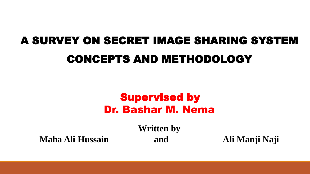## A SURVEY ON SECRET IMAGE SHARING SYSTEM CONCEPTS AND METHODOLOGY

### Supervised by Dr. Bashar M. Nema

# **Written by**

**Maha Ali Hussain and Ali Manji Naji**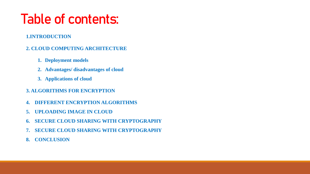# Table of contents:

#### **1.INTRODUCTION**

- **2. CLOUD COMPUTING ARCHITECTURE**
	- **1. Deployment models**
	- **2. Advantages/ disadvantages of cloud**
	- **3. Applications of cloud**
- **3. ALGORITHMS FOR ENCRYPTION**
- **4. DIFFERENT ENCRYPTION ALGORITHMS**
- **5. UPLOADING IMAGE IN CLOUD**
- **6. SECURE CLOUD SHARING WITH CRYPTOGRAPHY**
- **7. SECURE CLOUD SHARING WITH CRYPTOGRAPHY**
- **8. CONCLUSION**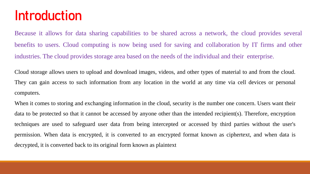### **Introduction**

Because it allows for data sharing capabilities to be shared across a network, the cloud provides several benefits to users. Cloud computing is now being used for saving and collaboration by IT firms and other industries. The cloud provides storage area based on the needs of the individual and their enterprise.

Cloud storage allows users to upload and download images, videos, and other types of material to and from the cloud. They can gain access to such information from any location in the world at any time via cell devices or personal computers.

When it comes to storing and exchanging information in the cloud, security is the number one concern. Users want their data to be protected so that it cannot be accessed by anyone other than the intended recipient(s). Therefore, encryption techniques are used to safeguard user data from being intercepted or accessed by third parties without the user's permission. When data is encrypted, it is converted to an encrypted format known as ciphertext, and when data is decrypted, it is converted back to its original form known as plaintext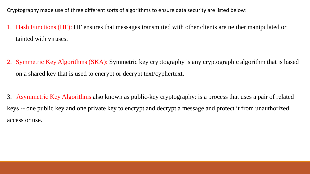Cryptography made use of three different sorts of algorithms to ensure data security are listed below:

- 1. Hash Functions (HF): HF ensures that messages transmitted with other clients are neither manipulated or tainted with viruses.
- 2. Symmetric Key Algorithms (SKA): Symmetric key cryptography is any cryptographic algorithm that is based on a shared key that is used to encrypt or decrypt text/cyphertext.
- 3. Asymmetric Key Algorithms also known as public-key cryptography: is a process that uses a pair of related keys -- one public key and one private key to encrypt and decrypt a message and protect it from unauthorized access or use.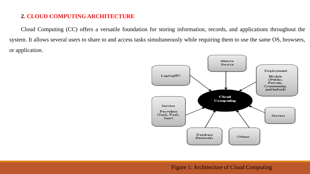#### **2. CLOUD COMPUTING ARCHITECTURE**

Cloud Computing (CC) offers a versatile foundation for storing information, records, and applications throughout the system. It allows several users to share to and access tasks simultaneously while requiring them to use the same OS, browsers, or application.

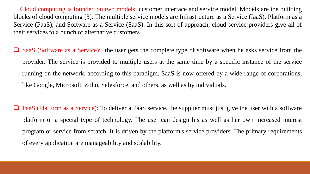Cloud computing is founded on two models: customer interface and service model. Models are the building blocks of cloud computing [3]. The multiple service models are Infrastructure as a Service (IaaS), Platform as a Service (PaaS), and Software as a Service (SaaS). In this sort of approach, cloud service providers give all of their services to a bunch of alternative customers.

■ SaaS (Software as a Service): the user gets the complete type of software when he asks service from the provider. The service is provided to multiple users at the same time by a specific instance of the service running on the network, according to this paradigm. SaaS is now offered by a wide range of corporations, like Google, Microsoft, Zoho, Salesforce, and others, as well as by individuals.

□ PaaS (Platform as a Service): To deliver a PaaS service, the supplier must just give the user with a software platform or a special type of technology. The user can design his as well as her own increased interest program or service from scratch. It is driven by the platform's service providers. The primary requirements of every application are manageability and scalability.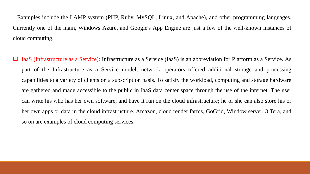Examples include the LAMP system (PHP, Ruby, MySQL, Linux, and Apache), and other programming languages. Currently one of the main, Windows Azure, and Google's App Engine are just a few of the well-known instances of cloud computing.

❑ IaaS (Infrastructure as a Service): Infrastructure as a Service (IaaS) is an abbreviation for Platform as a Service. As part of the Infrastructure as a Service model, network operators offered additional storage and processing capabilities to a variety of clients on a subscription basis. To satisfy the workload, computing and storage hardware are gathered and made accessible to the public in IaaS data center space through the use of the internet. The user can write his who has her own software, and have it run on the cloud infrastructure; he or she can also store his or her own apps or data in the cloud infrastructure. Amazon, cloud render farms, GoGrid, Window server, 3 Tera, and so on are examples of cloud computing services.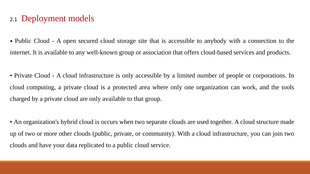#### 2.1 Deployment models

• Public Cloud - A open secured cloud storage site that is accessible to anybody with a connection to the internet. It is available to any well-known group or association that offers cloud-based services and products.

• Private Cloud - A cloud infrastructure is only accessible by a limited number of people or corporations. In cloud computing, a private cloud is a protected area where only one organization can work, and the tools charged by a private cloud are only available to that group.

• An organization's hybrid cloud is occurs when two separate clouds are used together. A cloud structure made up of two or more other clouds (public, private, or community). With a cloud infrastructure, you can join two clouds and have your data replicated to a public cloud service.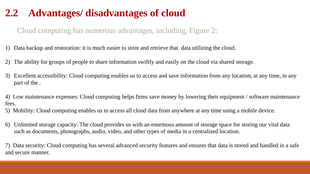#### **2.2 Advantages/ disadvantages of cloud**

#### Cloud computing has numerous advantages, including, Figure 2:

- 1) Data backup and restoration: it is much easier to store and retrieve that data utilizing the cloud.
- 2) The ability for groups of people to share information swiftly and easily on the cloud via shared storage.
- 3) Excellent accessibility: Cloud computing enables us to access and save information from any location, at any time, in any part of the .
- 4) Low maintenance expenses: Cloud computing helps firms save money by lowering their equipment / software maintenance fees.
- 5) Mobility: Cloud computing enables us to access all cloud data from anywhere at any time using a mobile device.
- 6) Unlimited storage capacity: The cloud provides us with an enormous amount of storage space for storing our vital data such as documents, photographs, audio, video, and other types of media in a centralized location.

7) Data security: Cloud computing has several advanced security features and ensures that data is stored and handled in a safe and secure manner.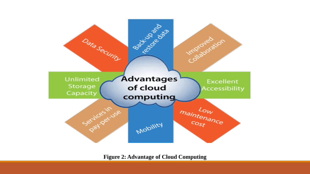

**Figure 2: Advantage of Cloud Computing**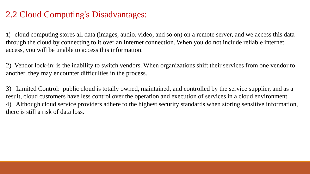#### 2.2 Cloud Computing's Disadvantages:

1) cloud computing stores all data (images, audio, video, and so on) on a remote server, and we access this data through the cloud by connecting to it over an Internet connection. When you do not include reliable internet access, you will be unable to access this information.

2) Vendor lock-in: is the inability to switch vendors. When organizations shift their services from one vendor to another, they may encounter difficulties in the process.

3) Limited Control: public cloud is totally owned, maintained, and controlled by the service supplier, and as a result, cloud customers have less control over the operation and execution of services in a cloud environment. 4) Although cloud service providers adhere to the highest security standards when storing sensitive information, there is still a risk of data loss.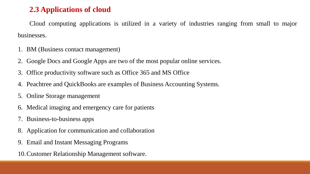#### **2.3 Applications of cloud**

Cloud computing applications is utilized in a variety of industries ranging from small to major businesses.

- 1. BM (Business contact management)
- 2. Google Docs and Google Apps are two of the most popular online services.
- 3. Office productivity software such as Office 365 and MS Office
- 4. Peachtree and QuickBooks are examples of Business Accounting Systems.
- 5. Online Storage management
- 6. Medical imaging and emergency care for patients
- 7. Business-to-business apps
- 8. Application for communication and collaboration
- 9. Email and Instant Messaging Programs
- 10.Customer Relationship Management software.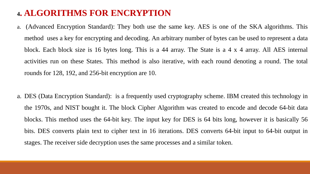#### **<sup>4</sup>. ALGORITHMS FOR ENCRYPTION**

- a. (Advanced Encryption Standard): They both use the same key. AES is one of the SKA algorithms. This method uses a key for encrypting and decoding. An arbitrary number of bytes can be used to represent a data block. Each block size is 16 bytes long. This is a 44 array. The State is a 4 x 4 array. All AES internal activities run on these States. This method is also iterative, with each round denoting a round. The total rounds for 128, 192, and 256-bit encryption are 10.
- a. DES (Data Encryption Standard): is a frequently used cryptography scheme. IBM created this technology in the 1970s, and NIST bought it. The block Cipher Algorithm was created to encode and decode 64-bit data blocks. This method uses the 64-bit key. The input key for DES is 64 bits long, however it is basically 56 bits. DES converts plain text to cipher text in 16 iterations. DES converts 64-bit input to 64-bit output in stages. The receiver side decryption uses the same processes and a similar token.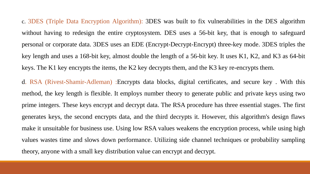c. 3DES (Triple Data Encryption Algorithm): 3DES was built to fix vulnerabilities in the DES algorithm without having to redesign the entire cryptosystem. DES uses a 56-bit key, that is enough to safeguard personal or corporate data. 3DES uses an EDE (Encrypt-Decrypt-Encrypt) three-key mode. 3DES triples the key length and uses a 168-bit key, almost double the length of a 56-bit key. It uses K1, K2, and K3 as 64-bit keys. The K1 key encrypts the items, the K2 key decrypts them, and the K3 key re-encrypts them.

d. RSA (Rivest-Shamir-Adleman) :Encrypts data blocks, digital certificates, and secure key . With this method, the key length is flexible. It employs number theory to generate public and private keys using two prime integers. These keys encrypt and decrypt data. The RSA procedure has three essential stages. The first generates keys, the second encrypts data, and the third decrypts it. However, this algorithm's design flaws make it unsuitable for business use. Using low RSA values weakens the encryption process, while using high values wastes time and slows down performance. Utilizing side channel techniques or probability sampling theory, anyone with a small key distribution value can encrypt and decrypt.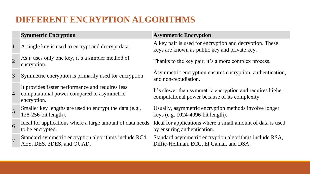#### **DIFFERENT ENCRYPTION ALGORITHMS**

- 
- 2 As it uses only one key, it's a simpler method of Thanks to the key pair, it's a more complex process.<br>encryption.
- - It provides faster performance and requires less
- 4 computational power compared to asymmetric encryption.
- 5 Smaller key lengths are used to encrypt the data (e.g., 128-256-bit length).
- 6 Ideal for applications where a large amount of data needs to be encrypted.
- 7 Standard symmetric encryption algorithms include RC4, AES, DES, 3DES, and QUAD.

#### **Symmetric Encryption Asymmetric Encryption**

A single key is used to encrypt and decrypt data. A key pair is used for encryption and decryption. These keys are known as public key and private key.

<sup>3</sup> Symmetric encryption is primarily used for encryption. Asymmetric encryption ensures encryption, authentication, and non-repudiation.

> It's slower than symmetric encryption and requires higher computational power because of its complexity.

Usually, asymmetric encryption methods involve longer keys (e.g. 1024-4096-bit length).

Ideal for applications where a small amount of data is used by ensuring authentication.

Standard asymmetric encryption algorithms include RSA, Diffie-Hellman, ECC, El Gamal, and DSA.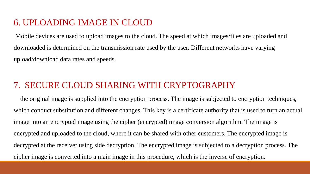#### 6. UPLOADING IMAGE IN CLOUD

Mobile devices are used to upload images to the cloud. The speed at which images/files are uploaded and downloaded is determined on the transmission rate used by the user. Different networks have varying upload/download data rates and speeds.

#### 7. SECURE CLOUD SHARING WITH CRYPTOGRAPHY

the original image is supplied into the encryption process. The image is subjected to encryption techniques, which conduct substitution and different changes. This key is a certificate authority that is used to turn an actual image into an encrypted image using the cipher (encrypted) image conversion algorithm. The image is encrypted and uploaded to the cloud, where it can be shared with other customers. The encrypted image is decrypted at the receiver using side decryption. The encrypted image is subjected to a decryption process. The cipher image is converted into a main image in this procedure, which is the inverse of encryption.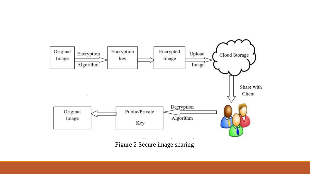

Figure 2 Secure image sharing